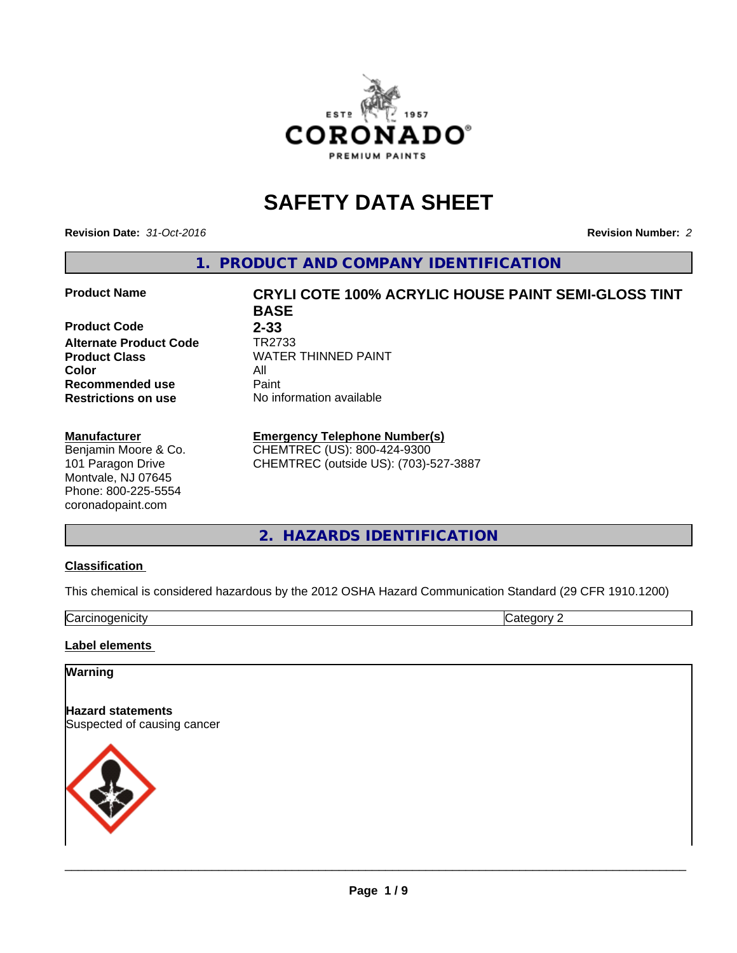

# **SAFETY DATA SHEET**

**Revision Date:** *31-Oct-2016* **Revision Number:** *2*

**1. PRODUCT AND COMPANY IDENTIFICATION**

#### **Product Name CRYLI COTE 100% ACRYLIC HOUSE PAINT SEMI-GLOSS TINT**

**Product Code** 2-33<br> **Alternate Product Code** TR2733 **Alternate Product Code**<br>Product Class **Color** All **Recommended use** Paint<br> **Restrictions on use** Mo information available **Restrictions on use** 

#### **Manufacturer**

Benjamin Moore & Co. 101 Paragon Drive Montvale, NJ 07645 Phone: 800-225-5554 coronadopaint.com

**BASE Product Class** WATER THINNED PAINT<br>
Color

### **Emergency Telephone Number(s)**

CHEMTREC (US): 800-424-9300 CHEMTREC (outside US): (703)-527-3887

**2. HAZARDS IDENTIFICATION**

#### **Classification**

This chemical is considered hazardous by the 2012 OSHA Hazard Communication Standard (29 CFR 1910.1200)

Carcinogenicity Category 2

#### **Label elements**

#### **Warning**

**Hazard statements** Suspected of causing cancer

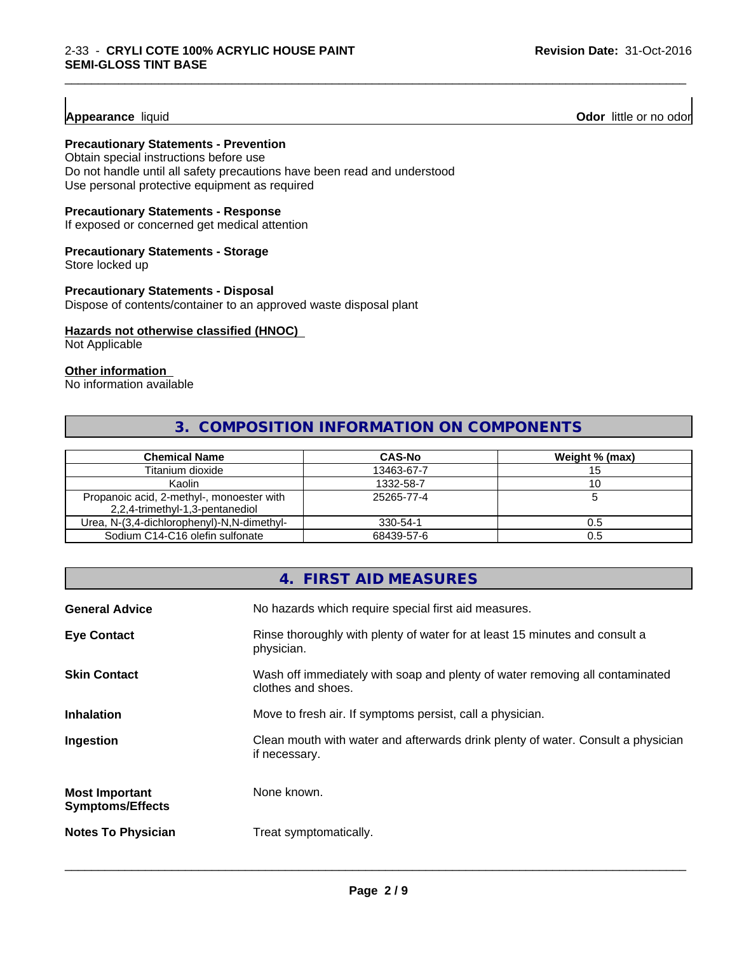**Appearance** liquid **Odor 11 Odor 11 Odor 11 Odor 11 Odor 11 Odor 11 Odor 11 Odor 11 Odor 11 Odor 11 Odor 11 Odor 11 Odor 11 Odor 11 Odor 11 Odor 11 Odor 11 Odor 11**

#### **Precautionary Statements - Prevention**

Obtain special instructions before use Do not handle until all safety precautions have been read and understood Use personal protective equipment as required

### **Precautionary Statements - Response**

If exposed or concerned get medical attention

#### **Precautionary Statements - Storage**

Store locked up

#### **Precautionary Statements - Disposal**

Dispose of contents/container to an approved waste disposal plant

#### **Hazards not otherwise classified (HNOC)**

Not Applicable

#### **Other information**

No information available

## **3. COMPOSITION INFORMATION ON COMPONENTS**

\_\_\_\_\_\_\_\_\_\_\_\_\_\_\_\_\_\_\_\_\_\_\_\_\_\_\_\_\_\_\_\_\_\_\_\_\_\_\_\_\_\_\_\_\_\_\_\_\_\_\_\_\_\_\_\_\_\_\_\_\_\_\_\_\_\_\_\_\_\_\_\_\_\_\_\_\_\_\_\_\_\_\_\_\_\_\_\_\_\_\_\_\_

| <b>Chemical Name</b>                                                         | <b>CAS-No</b> | Weight % (max) |
|------------------------------------------------------------------------------|---------------|----------------|
| Titanium dioxide                                                             | 13463-67-7    |                |
| Kaolin                                                                       | 1332-58-7     | 10             |
| Propanoic acid, 2-methyl-, monoester with<br>2,2,4-trimethyl-1,3-pentanediol | 25265-77-4    |                |
| Urea, N-(3,4-dichlorophenyl)-N,N-dimethyl-                                   | 330-54-1      | U.5            |
| Sodium C14-C16 olefin sulfonate                                              | 68439-57-6    |                |

|                                                  | 4. FIRST AID MEASURES                                                                              |
|--------------------------------------------------|----------------------------------------------------------------------------------------------------|
| <b>General Advice</b>                            | No hazards which require special first aid measures.                                               |
| <b>Eye Contact</b>                               | Rinse thoroughly with plenty of water for at least 15 minutes and consult a<br>physician.          |
| <b>Skin Contact</b>                              | Wash off immediately with soap and plenty of water removing all contaminated<br>clothes and shoes. |
| <b>Inhalation</b>                                | Move to fresh air. If symptoms persist, call a physician.                                          |
| Ingestion                                        | Clean mouth with water and afterwards drink plenty of water. Consult a physician<br>if necessary.  |
| <b>Most Important</b><br><b>Symptoms/Effects</b> | None known.                                                                                        |
| <b>Notes To Physician</b>                        | Treat symptomatically.                                                                             |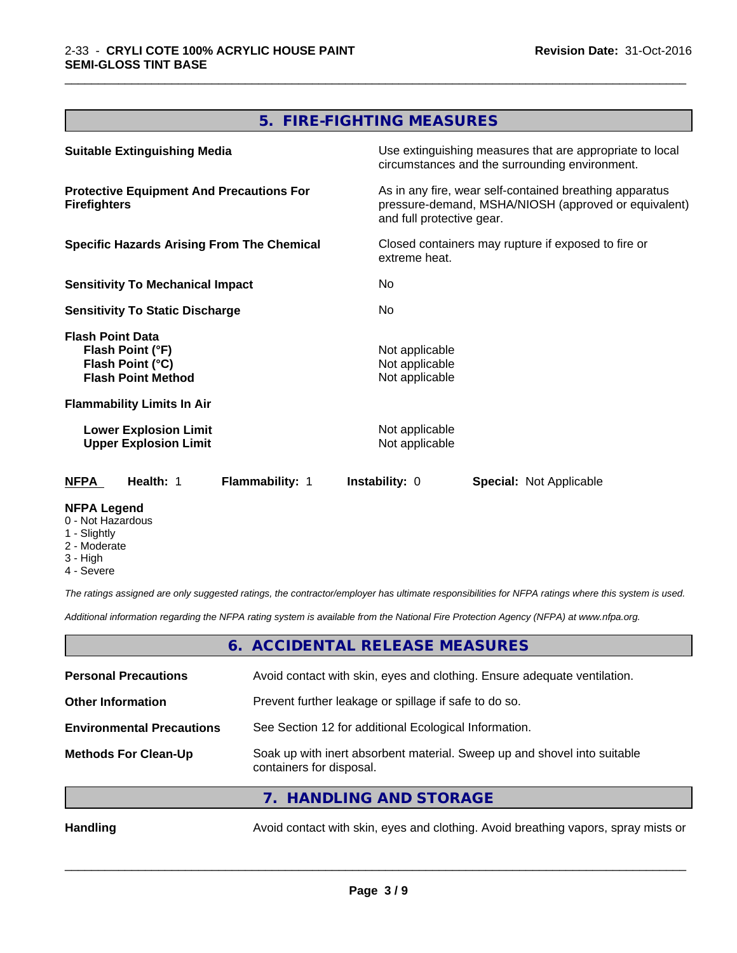## **5. FIRE-FIGHTING MEASURES**

\_\_\_\_\_\_\_\_\_\_\_\_\_\_\_\_\_\_\_\_\_\_\_\_\_\_\_\_\_\_\_\_\_\_\_\_\_\_\_\_\_\_\_\_\_\_\_\_\_\_\_\_\_\_\_\_\_\_\_\_\_\_\_\_\_\_\_\_\_\_\_\_\_\_\_\_\_\_\_\_\_\_\_\_\_\_\_\_\_\_\_\_\_

| <b>Suitable Extinguishing Media</b>                                                          | Use extinguishing measures that are appropriate to local<br>circumstances and the surrounding environment.                                   |
|----------------------------------------------------------------------------------------------|----------------------------------------------------------------------------------------------------------------------------------------------|
| <b>Protective Equipment And Precautions For</b><br><b>Firefighters</b>                       | As in any fire, wear self-contained breathing apparatus<br>pressure-demand, MSHA/NIOSH (approved or equivalent)<br>and full protective gear. |
| <b>Specific Hazards Arising From The Chemical</b>                                            | Closed containers may rupture if exposed to fire or<br>extreme heat.                                                                         |
| <b>Sensitivity To Mechanical Impact</b>                                                      | No.                                                                                                                                          |
| <b>Sensitivity To Static Discharge</b>                                                       | No.                                                                                                                                          |
| <b>Flash Point Data</b><br>Flash Point (°F)<br>Flash Point (°C)<br><b>Flash Point Method</b> | Not applicable<br>Not applicable<br>Not applicable                                                                                           |
| <b>Flammability Limits In Air</b>                                                            |                                                                                                                                              |
| <b>Lower Explosion Limit</b><br><b>Upper Explosion Limit</b>                                 | Not applicable<br>Not applicable                                                                                                             |
| Health: 1<br><b>NFPA</b><br>Flammability: 1                                                  | <b>Instability: 0</b><br><b>Special: Not Applicable</b>                                                                                      |
| <b>NFPA Legend</b><br>0 - Not Hazardous<br>1 - Slightly                                      |                                                                                                                                              |

- Slightly
- 2 Moderate
- 3 High
- 4 Severe

*The ratings assigned are only suggested ratings, the contractor/employer has ultimate responsibilities for NFPA ratings where this system is used.*

*Additional information regarding the NFPA rating system is available from the National Fire Protection Agency (NFPA) at www.nfpa.org.*

### **6. ACCIDENTAL RELEASE MEASURES**

| <b>Personal Precautions</b>      | Avoid contact with skin, eyes and clothing. Ensure adequate ventilation.                             |
|----------------------------------|------------------------------------------------------------------------------------------------------|
| <b>Other Information</b>         | Prevent further leakage or spillage if safe to do so.                                                |
| <b>Environmental Precautions</b> | See Section 12 for additional Ecological Information.                                                |
| <b>Methods For Clean-Up</b>      | Soak up with inert absorbent material. Sweep up and shovel into suitable<br>containers for disposal. |
|                                  | 7. HANDLING AND STORAGE                                                                              |
|                                  |                                                                                                      |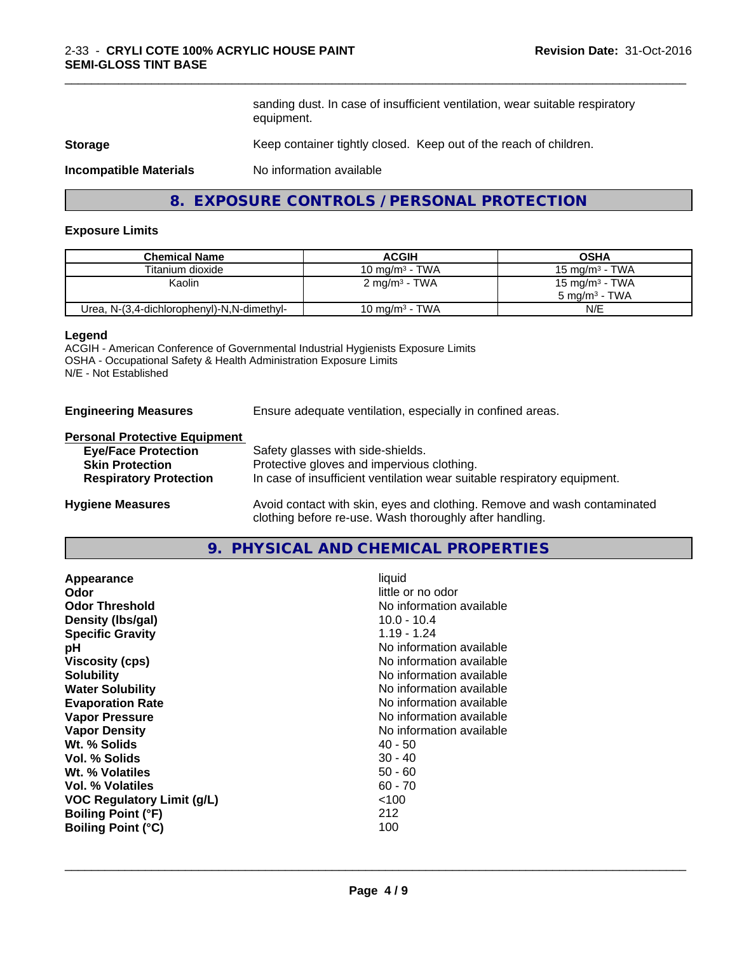sanding dust. In case of insufficient ventilation, wear suitable respiratory equipment.

\_\_\_\_\_\_\_\_\_\_\_\_\_\_\_\_\_\_\_\_\_\_\_\_\_\_\_\_\_\_\_\_\_\_\_\_\_\_\_\_\_\_\_\_\_\_\_\_\_\_\_\_\_\_\_\_\_\_\_\_\_\_\_\_\_\_\_\_\_\_\_\_\_\_\_\_\_\_\_\_\_\_\_\_\_\_\_\_\_\_\_\_\_

#### **Storage** Keep container tightly closed. Keep out of the reach of children.

**Incompatible Materials** No information available

## **8. EXPOSURE CONTROLS / PERSONAL PROTECTION**

#### **Exposure Limits**

| <b>Chemical Name</b>                       | <b>ACGIH</b>              | <b>OSHA</b>              |
|--------------------------------------------|---------------------------|--------------------------|
| Titanium dioxide                           | 10 mg/m $3$ - TWA         | 15 mg/m $3$ - TWA        |
| Kaolin                                     | 2 mg/m <sup>3</sup> - TWA | 15 mg/m $3$ - TWA        |
|                                            |                           | $5 \text{ ma/m}^3$ - TWA |
| Urea, N-(3,4-dichlorophenyl)-N,N-dimethyl- | 10 mg/m $3$ - TWA         | N/E                      |

#### **Legend**

ACGIH - American Conference of Governmental Industrial Hygienists Exposure Limits OSHA - Occupational Safety & Health Administration Exposure Limits N/E - Not Established

**Engineering Measures** Ensure adequate ventilation, especially in confined areas.

## **Personal Protective Equipment**

| <b>Eye/Face Protection</b>    | Safety glasses with side-shields.                                        |
|-------------------------------|--------------------------------------------------------------------------|
| <b>Skin Protection</b>        | Protective gloves and impervious clothing.                               |
| <b>Respiratory Protection</b> | In case of insufficient ventilation wear suitable respiratory equipment. |
| Hydiano Moscuros              | Avoid contact with skip eves and clothing. Remove and wash contaminated  |

**Hygiene Measures** Avoid contact with skin, eyes and clothing. Remove and wash contaminated clothing before re-use. Wash thoroughly after handling.

### **9. PHYSICAL AND CHEMICAL PROPERTIES**

| Appearance<br>Odor<br><b>Odor Threshold</b><br>Density (Ibs/gal)<br><b>Specific Gravity</b><br>рH<br><b>Viscosity (cps)</b><br><b>Solubility</b><br><b>Water Solubility</b><br><b>Evaporation Rate</b><br><b>Vapor Pressure</b><br><b>Vapor Density</b><br>Wt. % Solids<br>Vol. % Solids<br>Wt. % Volatiles<br>Vol. % Volatiles<br><b>VOC Regulatory Limit (g/L)</b><br><b>Boiling Point (°F)</b> | liquid<br>little or no odor<br>No information available<br>$10.0 - 10.4$<br>1.19 - 1.24<br>No information available<br>No information available<br>No information available<br>No information available<br>No information available<br>No information available<br>No information available<br>$40 - 50$<br>$30 - 40$<br>$50 - 60$<br>$60 - 70$<br>~100<br>212 |
|---------------------------------------------------------------------------------------------------------------------------------------------------------------------------------------------------------------------------------------------------------------------------------------------------------------------------------------------------------------------------------------------------|----------------------------------------------------------------------------------------------------------------------------------------------------------------------------------------------------------------------------------------------------------------------------------------------------------------------------------------------------------------|
| <b>Boiling Point (°C)</b>                                                                                                                                                                                                                                                                                                                                                                         | 100                                                                                                                                                                                                                                                                                                                                                            |
|                                                                                                                                                                                                                                                                                                                                                                                                   |                                                                                                                                                                                                                                                                                                                                                                |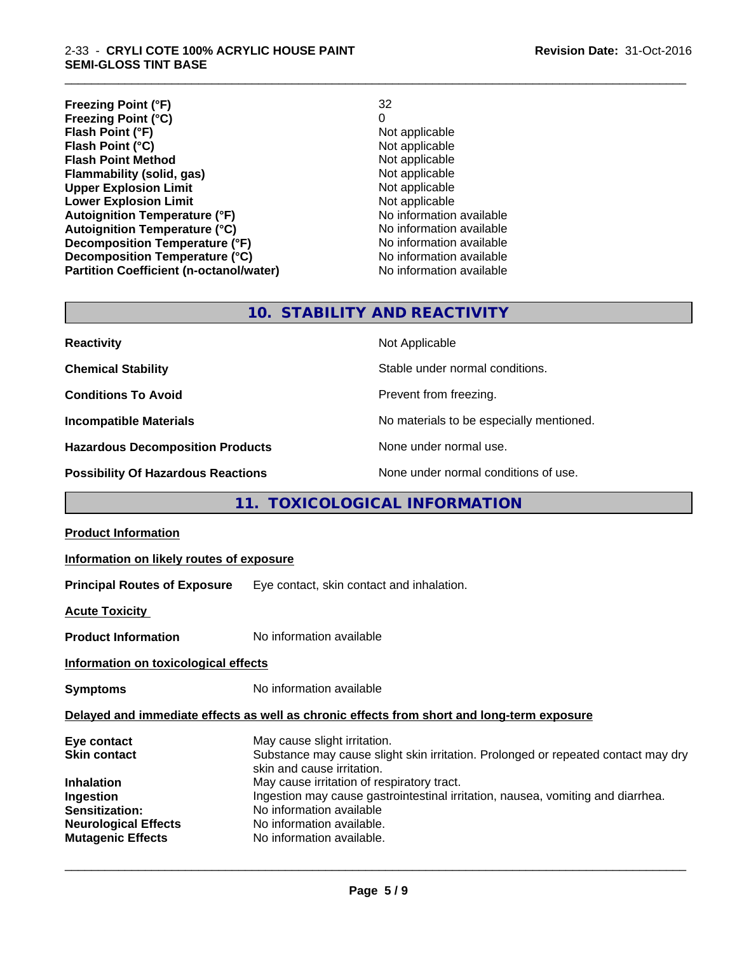#### 2-33 - **CRYLI COTE 100% ACRYLIC HOUSE PAINT SEMI-GLOSS TINT BASE**

**Freezing Point (°F)** 32 **Freezing Point (°C)** 0 **Flash Point (°F)**<br> **Flash Point (°C)**<br> **Flash Point (°C)**<br> **Point (°C)**<br> **Point (°C)**<br> **Point (°C)**<br> **Point (°C)**<br> **Point (°C) Flash Point (°C)**<br> **Flash Point Method**<br> **Flash Point Method**<br> **CO Flash Point Method**<br> **Flammability (solid, gas)**<br>
Not applicable<br>
Not applicable **Flammability (solid, gas)**<br> **Contrary Controller Upper Explosion Limit Algebra 2018** Not applicable **Upper Explosion Limit**<br> **Lower Explosion Limit**<br> **Lower Explosion Limit Lower Explosion Limit**<br> **Autoignition Temperature (°F)**<br> **Autoignition Temperature (°F)**<br> **Autoignition Temperature (°F) Autoignition Temperature (°F)**<br> **Autoignition Temperature (°C)** No information available **Autoignition Temperature (°C) Decomposition Temperature (°F)** No information available **Decomposition Temperature (°C)** No information available **Partition Coefficient (n-octanol/water)** No information available

\_\_\_\_\_\_\_\_\_\_\_\_\_\_\_\_\_\_\_\_\_\_\_\_\_\_\_\_\_\_\_\_\_\_\_\_\_\_\_\_\_\_\_\_\_\_\_\_\_\_\_\_\_\_\_\_\_\_\_\_\_\_\_\_\_\_\_\_\_\_\_\_\_\_\_\_\_\_\_\_\_\_\_\_\_\_\_\_\_\_\_\_\_

## **10. STABILITY AND REACTIVITY**

| <b>Reactivity</b>                         | Not Applicable                           |
|-------------------------------------------|------------------------------------------|
| <b>Chemical Stability</b>                 | Stable under normal conditions.          |
| <b>Conditions To Avoid</b>                | Prevent from freezing.                   |
| <b>Incompatible Materials</b>             | No materials to be especially mentioned. |
| <b>Hazardous Decomposition Products</b>   | None under normal use.                   |
| <b>Possibility Of Hazardous Reactions</b> | None under normal conditions of use.     |

## **11. TOXICOLOGICAL INFORMATION**

| <b>Product Information</b>                                                                                                                        |                                                                                                                                                                                                                                                                                                                                                                        |
|---------------------------------------------------------------------------------------------------------------------------------------------------|------------------------------------------------------------------------------------------------------------------------------------------------------------------------------------------------------------------------------------------------------------------------------------------------------------------------------------------------------------------------|
| Information on likely routes of exposure                                                                                                          |                                                                                                                                                                                                                                                                                                                                                                        |
| <b>Principal Routes of Exposure</b>                                                                                                               | Eye contact, skin contact and inhalation.                                                                                                                                                                                                                                                                                                                              |
| <b>Acute Toxicity</b>                                                                                                                             |                                                                                                                                                                                                                                                                                                                                                                        |
| <b>Product Information</b>                                                                                                                        | No information available                                                                                                                                                                                                                                                                                                                                               |
| Information on toxicological effects                                                                                                              |                                                                                                                                                                                                                                                                                                                                                                        |
| <b>Symptoms</b>                                                                                                                                   | No information available                                                                                                                                                                                                                                                                                                                                               |
|                                                                                                                                                   | Delayed and immediate effects as well as chronic effects from short and long-term exposure                                                                                                                                                                                                                                                                             |
| Eye contact<br><b>Skin contact</b><br><b>Inhalation</b><br>Ingestion<br>Sensitization:<br><b>Neurological Effects</b><br><b>Mutagenic Effects</b> | May cause slight irritation.<br>Substance may cause slight skin irritation. Prolonged or repeated contact may dry<br>skin and cause irritation.<br>May cause irritation of respiratory tract.<br>Ingestion may cause gastrointestinal irritation, nausea, vomiting and diarrhea.<br>No information available<br>No information available.<br>No information available. |
|                                                                                                                                                   |                                                                                                                                                                                                                                                                                                                                                                        |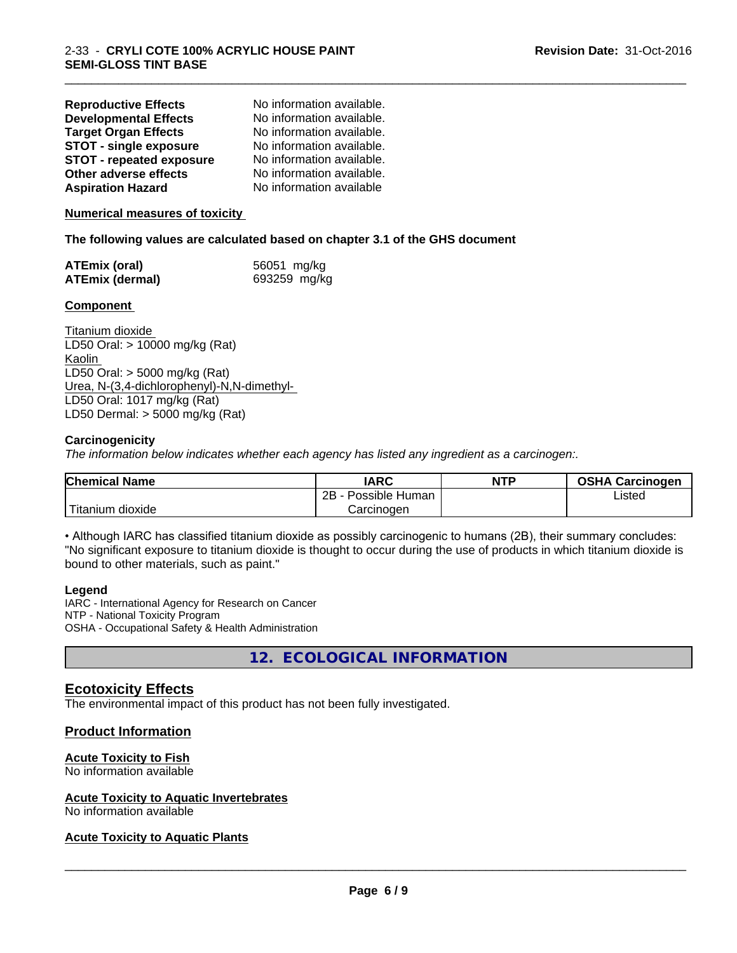| <b>Reproductive Effects</b>     | No information available. |
|---------------------------------|---------------------------|
| <b>Developmental Effects</b>    | No information available. |
| <b>Target Organ Effects</b>     | No information available. |
| <b>STOT - single exposure</b>   | No information available. |
| <b>STOT - repeated exposure</b> | No information available. |
| Other adverse effects           | No information available. |
| <b>Aspiration Hazard</b>        | No information available  |

#### **Numerical measures of toxicity**

#### **The following values are calculated based on chapter 3.1 of the GHS document**

| <b>ATEmix (oral)</b> | 56051 mg/kg  |
|----------------------|--------------|
| ATEmix (dermal)      | 693259 mg/kg |

#### **Component**

Titanium dioxide LD50 Oral: > 10000 mg/kg (Rat) Kaolin LD50 Oral: > 5000 mg/kg (Rat) Urea, N-(3,4-dichlorophenyl)-N,N-dimethyl- LD50 Oral: 1017 mg/kg (Rat) LD50 Dermal: > 5000 mg/kg (Rat)

#### **Carcinogenicity**

*The information below indicateswhether each agency has listed any ingredient as a carcinogen:.*

| <b>Chemical Name</b> | <b>IARC</b>          | <b>NTP</b> | <b>OSHA</b><br><b>Carcinogen</b> |
|----------------------|----------------------|------------|----------------------------------|
|                      | Possible Human<br>2B |            | Listed                           |
| Titanium<br>dioxide  | Carcinogen           |            |                                  |

\_\_\_\_\_\_\_\_\_\_\_\_\_\_\_\_\_\_\_\_\_\_\_\_\_\_\_\_\_\_\_\_\_\_\_\_\_\_\_\_\_\_\_\_\_\_\_\_\_\_\_\_\_\_\_\_\_\_\_\_\_\_\_\_\_\_\_\_\_\_\_\_\_\_\_\_\_\_\_\_\_\_\_\_\_\_\_\_\_\_\_\_\_

• Although IARC has classified titanium dioxide as possibly carcinogenic to humans (2B), their summary concludes: "No significant exposure to titanium dioxide is thought to occur during the use of products in which titanium dioxide is bound to other materials, such as paint."

#### **Legend**

IARC - International Agency for Research on Cancer NTP - National Toxicity Program OSHA - Occupational Safety & Health Administration

**12. ECOLOGICAL INFORMATION**

## **Ecotoxicity Effects**

The environmental impact of this product has not been fully investigated.

### **Product Information**

#### **Acute Toxicity to Fish**

No information available

#### **Acute Toxicity to Aquatic Invertebrates**

No information available

#### **Acute Toxicity to Aquatic Plants**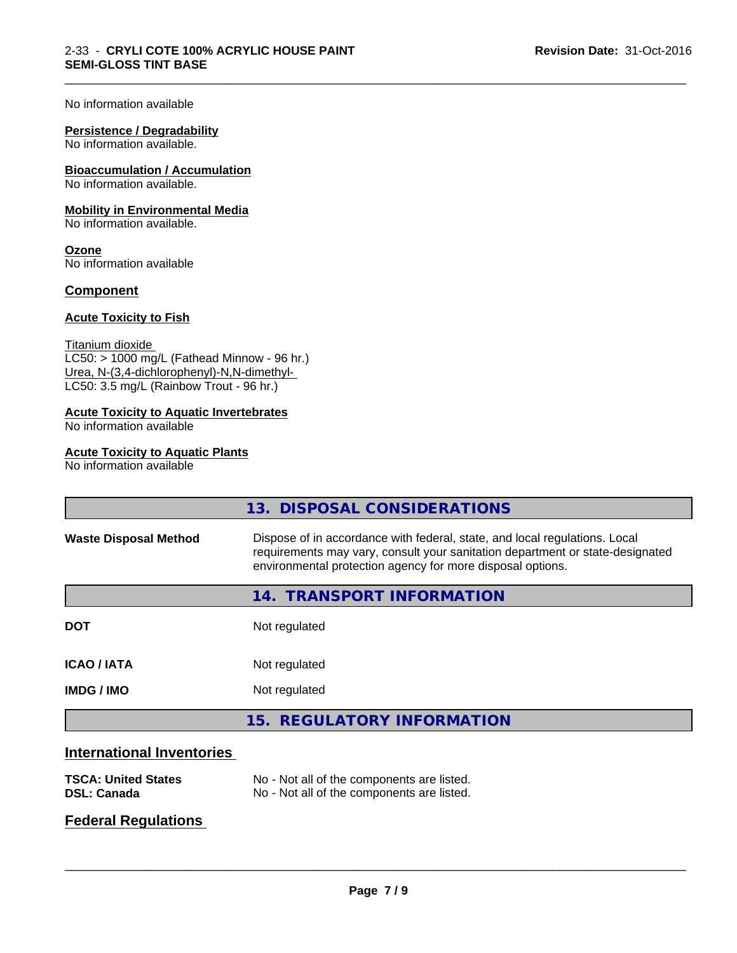#### No information available

#### **Persistence / Degradability**

No information available.

## **Bioaccumulation / Accumulation**

No information available.

#### **Mobility in Environmental Media**

No information available.

**Ozone** No information available

#### **Component**

#### **Acute Toxicity to Fish**

Titanium dioxide  $LC50:$  > 1000 mg/L (Fathead Minnow - 96 hr.) Urea, N-(3,4-dichlorophenyl)-N,N-dimethyl- LC50: 3.5 mg/L (Rainbow Trout - 96 hr.)

## **Acute Toxicity to Aquatic Invertebrates**

No information available

#### **Acute Toxicity to Aquatic Plants**

No information available

|                                  | 13. DISPOSAL CONSIDERATIONS                                                                                                                                                                                               |  |
|----------------------------------|---------------------------------------------------------------------------------------------------------------------------------------------------------------------------------------------------------------------------|--|
| <b>Waste Disposal Method</b>     | Dispose of in accordance with federal, state, and local regulations. Local<br>requirements may vary, consult your sanitation department or state-designated<br>environmental protection agency for more disposal options. |  |
|                                  | 14. TRANSPORT INFORMATION                                                                                                                                                                                                 |  |
| <b>DOT</b>                       | Not regulated                                                                                                                                                                                                             |  |
| <b>ICAO/IATA</b>                 | Not regulated                                                                                                                                                                                                             |  |
| <b>IMDG/IMO</b>                  | Not regulated                                                                                                                                                                                                             |  |
|                                  | 15. REGULATORY INFORMATION                                                                                                                                                                                                |  |
| <b>International Inventories</b> |                                                                                                                                                                                                                           |  |

\_\_\_\_\_\_\_\_\_\_\_\_\_\_\_\_\_\_\_\_\_\_\_\_\_\_\_\_\_\_\_\_\_\_\_\_\_\_\_\_\_\_\_\_\_\_\_\_\_\_\_\_\_\_\_\_\_\_\_\_\_\_\_\_\_\_\_\_\_\_\_\_\_\_\_\_\_\_\_\_\_\_\_\_\_\_\_\_\_\_\_\_\_

## **TSCA: United States** No - Not all of the components are listed. **DSL: Canada** No - Not all of the components are listed.

## **Federal Regulations**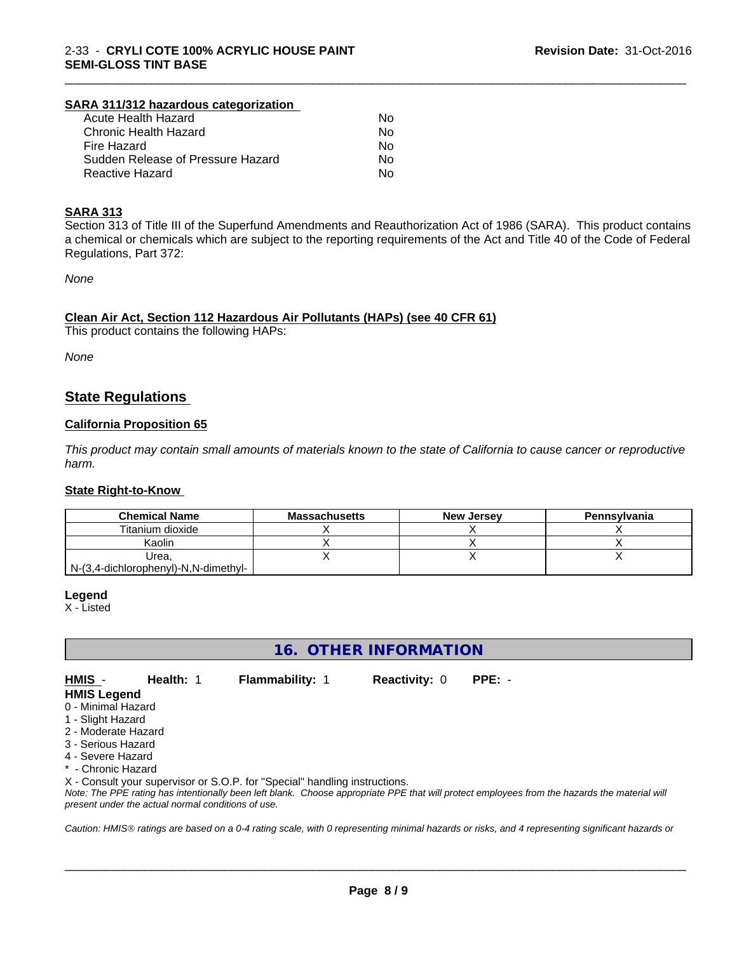#### **SARA 311/312 hazardous categorization**

| <b>Acute Health Hazard</b>        | No |
|-----------------------------------|----|
| Chronic Health Hazard             | Nο |
| Fire Hazard                       | Nο |
| Sudden Release of Pressure Hazard | Nο |
| Reactive Hazard                   | N٥ |

#### **SARA 313**

Section 313 of Title III of the Superfund Amendments and Reauthorization Act of 1986 (SARA). This product contains a chemical or chemicals which are subject to the reporting requirements of the Act and Title 40 of the Code of Federal Regulations, Part 372:

\_\_\_\_\_\_\_\_\_\_\_\_\_\_\_\_\_\_\_\_\_\_\_\_\_\_\_\_\_\_\_\_\_\_\_\_\_\_\_\_\_\_\_\_\_\_\_\_\_\_\_\_\_\_\_\_\_\_\_\_\_\_\_\_\_\_\_\_\_\_\_\_\_\_\_\_\_\_\_\_\_\_\_\_\_\_\_\_\_\_\_\_\_

*None*

#### **Clean Air Act,Section 112 Hazardous Air Pollutants (HAPs) (see 40 CFR 61)**

This product contains the following HAPs:

*None*

## **State Regulations**

#### **California Proposition 65**

This product may contain small amounts of materials known to the state of California to cause cancer or reproductive *harm.*

#### **State Right-to-Know**

| <b>Chemical Name</b>                 | <b>Massachusetts</b> | <b>New Jersey</b> | Pennsylvania |
|--------------------------------------|----------------------|-------------------|--------------|
| Titanium dioxide                     |                      |                   |              |
| Kaolin                               |                      |                   |              |
| Urea.                                |                      |                   |              |
| N-(3,4-dichlorophenyl)-N,N-dimethyl- |                      |                   |              |

#### **Legend**

X - Listed

**16. OTHER INFORMATION**

**HMIS** - **Health:** 1 **Flammability:** 1 **Reactivity:** 0 **PPE:** - **HMIS Legend**

- 
- 0 Minimal Hazard
- 1 Slight Hazard 2 - Moderate Hazard
- 3 Serious Hazard
- 
- 4 Severe Hazard
- Chronic Hazard

X - Consult your supervisor or S.O.P. for "Special" handling instructions.

*Note: The PPE rating has intentionally been left blank. Choose appropriate PPE that will protect employees from the hazards the material will present under the actual normal conditions of use.*

*Caution: HMISÒ ratings are based on a 0-4 rating scale, with 0 representing minimal hazards or risks, and 4 representing significant hazards or*